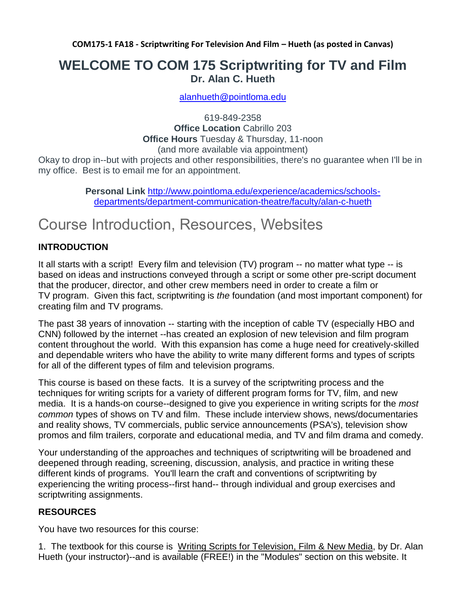**COM175-1 FA18 - Scriptwriting For Television And Film – Hueth (as posted in Canvas)**

#### **WELCOME TO COM 175 Scriptwriting for TV and Film Dr. Alan C. Hueth**

[alanhueth@pointloma.edu](mailto:alanhueth@pointloma.edu)

619-849-2358 **Office Location** Cabrillo 203 **Office Hours** Tuesday & Thursday, 11-noon (and more available via appointment)

Okay to drop in--but with projects and other responsibilities, there's no guarantee when I'll be in my office. Best is to email me for an appointment.

> **Personal Link** [http://www.pointloma.edu/experience/academics/schools](http://www.pointloma.edu/experience/academics/schools-departments/department-communication-theatre/faculty/alan-c-hueth)[departments/department-communication-theatre/faculty/alan-c-hueth](http://www.pointloma.edu/experience/academics/schools-departments/department-communication-theatre/faculty/alan-c-hueth)

### Course Introduction, Resources, Websites

#### **INTRODUCTION**

It all starts with a script! Every film and television (TV) program -- no matter what type -- is based on ideas and instructions conveyed through a script or some other pre-script document that the producer, director, and other crew members need in order to create a film or TV program. Given this fact, scriptwriting is *the* foundation (and most important component) for creating film and TV programs.

The past 38 years of innovation -- starting with the inception of cable TV (especially HBO and CNN) followed by the internet --has created an explosion of new television and film program content throughout the world. With this expansion has come a huge need for creatively-skilled and dependable writers who have the ability to write many different forms and types of scripts for all of the different types of film and television programs.

This course is based on these facts. It is a survey of the scriptwriting process and the techniques for writing scripts for a variety of different program forms for TV, film, and new media. It is a hands-on course--designed to give you experience in writing scripts for the *most common* types of shows on TV and film. These include interview shows, news/documentaries and reality shows, TV commercials, public service announcements (PSA's), television show promos and film trailers, corporate and educational media, and TV and film drama and comedy.

Your understanding of the approaches and techniques of scriptwriting will be broadened and deepened through reading, screening, discussion, analysis, and practice in writing these different kinds of programs. You'll learn the craft and conventions of scriptwriting by experiencing the writing process--first hand-- through individual and group exercises and scriptwriting assignments.

#### **RESOURCES**

You have two resources for this course:

1. The textbook for this course is Writing Scripts for Television, Film & New Media, by Dr. Alan Hueth (your instructor)--and is available (FREE!) in the "Modules" section on this website. It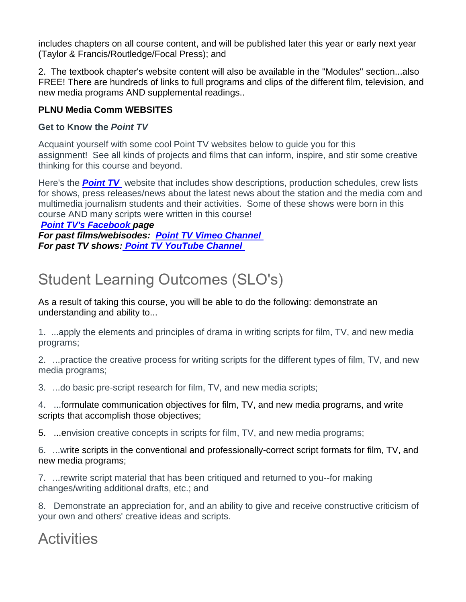includes chapters on all course content, and will be published later this year or early next year (Taylor & Francis/Routledge/Focal Press); and

2. The textbook chapter's website content will also be available in the "Modules" section...also FREE! There are hundreds of links to full programs and clips of the different film, television, and new media programs AND supplemental readings..

#### **PLNU Media Comm WEBSITES**

#### **Get to Know the** *Point TV*

Acquaint yourself with some cool Point TV websites below to guide you for this assignment! See all kinds of projects and films that can inform, inspire, and stir some creative thinking for this course and beyond.

Here's the **Point TV** website that includes show descriptions, production schedules, crew lists for shows, press releases/news about the latest news about the station and the media com and multimedia journalism students and their activities. Some of these shows were born in this course AND many scripts were written in this course!

*[Point TV's Facebook](https://www.facebook.com/pages/Point-TV/447038881997027?ref=hl) page*

*For past films/webisodes: Point TV [Vimeo Channel](https://vimeo.com/channels/pointtv) For past TV shows: [Point TV YouTube Channel](https://www.youtube.com/channel/UCbSHEdR_GA73Wpay3g4OuBQ)*

## Student Learning Outcomes (SLO's)

As a result of taking this course, you will be able to do the following: demonstrate an understanding and ability to...

1. ...apply the elements and principles of drama in writing scripts for film, TV, and new media programs;

2. ...practice the creative process for writing scripts for the different types of film, TV, and new media programs;

3. ...do basic pre-script research for film, TV, and new media scripts;

4. ...formulate communication objectives for film, TV, and new media programs, and write scripts that accomplish those objectives;

5. ...envision creative concepts in scripts for film, TV, and new media programs;

6. ...write scripts in the conventional and professionally-correct script formats for film, TV, and new media programs;

7. ...rewrite script material that has been critiqued and returned to you--for making changes/writing additional drafts, etc.; and

8. Demonstrate an appreciation for, and an ability to give and receive constructive criticism of your own and others' creative ideas and scripts.

### **Activities**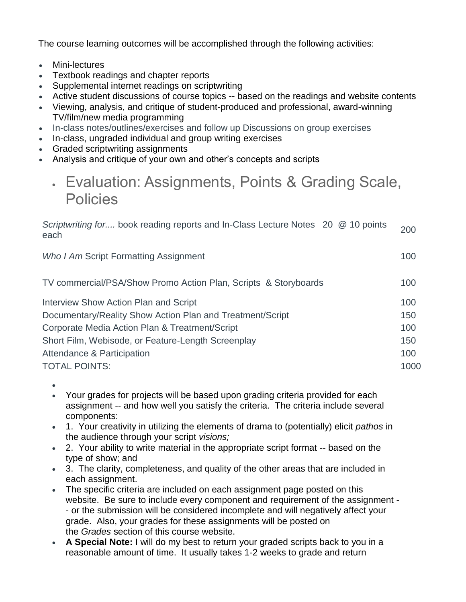The course learning outcomes will be accomplished through the following activities:

- Mini-lectures
- Textbook readings and chapter reports
- Supplemental internet readings on scriptwriting
- Active student discussions of course topics -- based on the readings and website contents
- Viewing, analysis, and critique of student-produced and professional, award-winning TV/film/new media programming
- In-class notes/outlines/exercises and follow up Discussions on group exercises
- In-class, ungraded individual and group writing exercises
- Graded scriptwriting assignments
- Analysis and critique of your own and other's concepts and scripts

### • Evaluation: Assignments, Points & Grading Scale, **Policies**

| Scriptwriting for book reading reports and In-Class Lecture Notes 20 @ 10 points<br>each | 200  |
|------------------------------------------------------------------------------------------|------|
| Who I Am Script Formatting Assignment                                                    | 100  |
| TV commercial/PSA/Show Promo Action Plan, Scripts & Storyboards                          | 100  |
| Interview Show Action Plan and Script                                                    | 100  |
| Documentary/Reality Show Action Plan and Treatment/Script                                | 150  |
| Corporate Media Action Plan & Treatment/Script                                           | 100  |
| Short Film, Webisode, or Feature-Length Screenplay                                       | 150  |
| Attendance & Participation                                                               | 100  |
| <b>TOTAL POINTS:</b>                                                                     | 1000 |

- •
- Your grades for projects will be based upon grading criteria provided for each assignment -- and how well you satisfy the criteria. The criteria include several components:
- 1. Your creativity in utilizing the elements of drama to (potentially) elicit *pathos* in the audience through your script *visions;*
- 2. Your ability to write material in the appropriate script format -- based on the type of show; and
- 3. The clarity, completeness, and quality of the other areas that are included in each assignment.
- The specific criteria are included on each assignment page posted on this website. Be sure to include every component and requirement of the assignment - - or the submission will be considered incomplete and will negatively affect your grade. Also, your grades for these assignments will be posted on the *Grades* section of this course website.
- **A Special Note:** I will do my best to return your graded scripts back to you in a reasonable amount of time. It usually takes 1-2 weeks to grade and return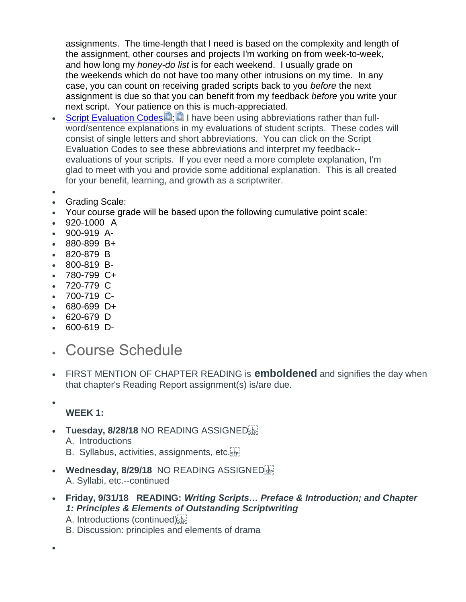assignments. The time-length that I need is based on the complexity and length of the assignment, other courses and projects I'm working on from week-to-week, and how long my *honey-do list* is for each weekend. I usually grade on the weekends which do not have too many other intrusions on my time. In any case, you can count on receiving graded scripts back to you *before* the next assignment is due so that you can benefit from my feedback *before* you write your next script. Your patience on this is much-appreciated.

- [Script Evaluation Codes](https://canvas.pointloma.edu/courses/39787/files/1919437/download?wrap=1) **2[:](https://canvas.pointloma.edu/courses/39787/files/1919417/download?wrap=1) 2 | have been using abbreviations rather than full**word/sentence explanations in my evaluations of student scripts. These codes will consist of single letters and short abbreviations. You can click on the Script Evaluation Codes to see these abbreviations and interpret my feedback- evaluations of your scripts. If you ever need a more complete explanation, I'm glad to meet with you and provide some additional explanation. This is all created for your benefit, learning, and growth as a scriptwriter.
- •
- Grading Scale:
- Your course grade will be based upon the following cumulative point scale:
- 920-1000 A
- 900-919 A-
- 880-899 B+
- 820-879 B
- 800-819 B-
- 780-799 C+
- 720-779 C
- 700-719 C-
- 680-699 D+
- 620-679 D
- 600-619 D-
- Course Schedule
- FIRST MENTION OF CHAPTER READING is **emboldened** and signifies the day when that chapter's Reading Report assignment(s) is/are due.
	- **WEEK 1:**
- **Tuesday, 8/28/18** NO READING ASSIGNED A. Introductions
	- B. Syllabus, activities, assignments, etc.
- **Wednesday, 8/29/18** NO READING ASSIGNED<sup>[17]</sup> A. Syllabi, etc.--continued
- **Friday, 9/31/18 READING:** *Writing Scripts… Preface & Introduction; and Chapter 1: Principles & Elements of Outstanding Scriptwriting*
	- A. Introductions (continued)
	- B. Discussion: principles and elements of drama

•

•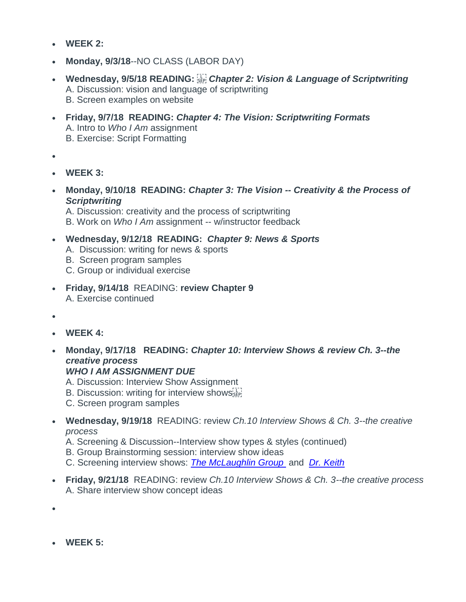- **WEEK 2:**
- **Monday, 9/3/18**--NO CLASS (LABOR DAY)
- **Wednesday, 9/5/18 READING:**  *Chapter 2: Vision & Language of Scriptwriting* A. Discussion: vision and language of scriptwriting B. Screen examples on website
- **Friday, 9/7/18 READING:** *Chapter 4: The Vision: Scriptwriting Formats* A. Intro to *Who I Am* assignment B. Exercise: Script Formatting
- •
- **WEEK 3:**
- **Monday, 9/10/18 READING:** *Chapter 3: The Vision -- Creativity & the Process of Scriptwriting*

A. Discussion: creativity and the process of scriptwriting

B. Work on *Who I Am* assignment -- w/instructor feedback

#### • **Wednesday, 9/12/18 READING:** *Chapter 9: News & Sports*

- A. Discussion: writing for news & sports
- B. Screen program samples
- C. Group or individual exercise
- **Friday, 9/14/18** READING: **review Chapter 9** A. Exercise continued
- •
- **WEEK 4:**
- **Monday, 9/17/18 READING:** *Chapter 10: Interview Shows & review Ch. 3--the creative process*

#### *WHO I AM ASSIGNMENT DUE*

- A. Discussion: Interview Show Assignment
- B. Discussion: writing for interview shows
- C. Screen program samples
- **Wednesday, 9/19/18** READING: review *Ch.10 Interview Shows & Ch. 3--the creative process*
	- A. Screening & Discussion--Interview show types & styles (continued)
	- B. Group Brainstorming session: interview show ideas
	- C. Screening interview shows: *[The McLaughlin Group](http://www.mclaughlin.com/)* and *[Dr. Keith](https://www.youtube.com/watch?v=FAXZyn5G8nk&list=PLMATWUx3t7L96rNjgH09sBMvtz4Gjrma9)*
- **Friday, 9/21/18** READING: review *Ch.10 Interview Shows & Ch. 3--the creative process* A. Share interview show concept ideas
- •
- **WEEK 5:**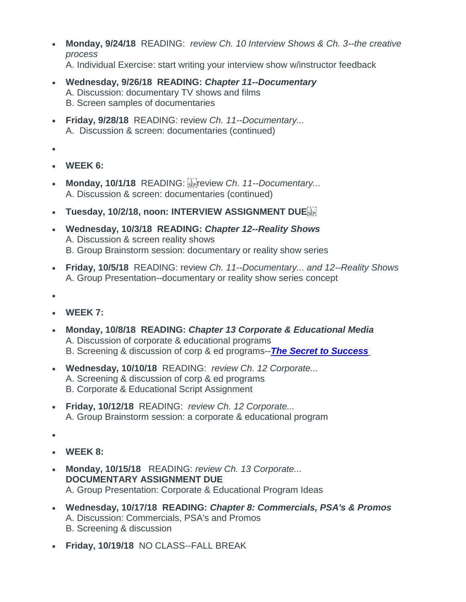- **Monday, 9/24/18** READING: *review Ch. 10 Interview Shows & Ch. 3--the creative process* A. Individual Exercise: start writing your interview show w/instructor feedback
- **Wednesday, 9/26/18 READING:** *Chapter 11--Documentary*  A. Discussion: documentary TV shows and films B. Screen samples of documentaries
- **Friday, 9/28/18** READING: review *Ch. 11--Documentary...* A. Discussion & screen: documentaries (continued)
- •
- **WEEK 6:**
- Monday, 10/1/18 READING: SEPTE Priew Ch. 11--Documentary... A. Discussion & screen: documentaries (continued)
- **Tuesday, 10/2/18, noon: INTERVIEW ASSIGNMENT DUE**
- **Wednesday, 10/3/18 READING:** *Chapter 12--Reality Shows* A. Discussion & screen reality shows B. Group Brainstorm session: documentary or reality show series
- **Friday, 10/5/18** READING: review *Ch. 11--Documentary... and 12--Reality Shows* A. Group Presentation--documentary or reality show series concept
- •
- **WEEK 7:**
- **Monday, 10/8/18 READING:** *Chapter 13 Corporate & Educational Media* A. Discussion of corporate & educational programs B. Screening & discussion of corp & ed programs--*[The Secret to Success](https://www.prageru.com/courses/life-studies/secret-success)*
- **Wednesday, 10/10/18** READING: *review Ch. 12 Corporate...* A. Screening & discussion of corp & ed programs B. Corporate & Educational Script Assignment
- **Friday, 10/12/18** READING: *review Ch. 12 Corporate...* A. Group Brainstorm session: a corporate & educational program
- •
- **WEEK 8:**
- **Monday, 10/15/18** READING: *review Ch. 13 Corporate...* **DOCUMENTARY ASSIGNMENT DUE** A. Group Presentation: Corporate & Educational Program Ideas
- **Wednesday, 10/17/18 READING:** *Chapter 8: Commercials, PSA's & Promos* A. Discussion: Commercials, PSA's and Promos B. Screening & discussion
- **Friday, 10/19/18** NO CLASS--FALL BREAK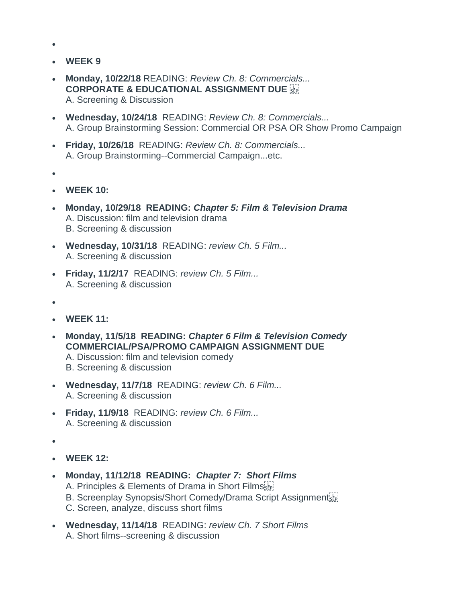- •
- **WEEK 9**
- **Monday, 10/22/18** READING: *Review Ch. 8: Commercials...* **CORPORATE & EDUCATIONAL ASSIGNMENT DUE** A. Screening & Discussion
- **Wednesday, 10/24/18** READING: *Review Ch. 8: Commercials...* A. Group Brainstorming Session: Commercial OR PSA OR Show Promo Campaign
- **Friday, 10/26/18** READING: *Review Ch. 8: Commercials...* A. Group Brainstorming--Commercial Campaign...etc.
- •
- **WEEK 10:**
- **Monday, 10/29/18 READING:** *Chapter 5: Film & Television Drama* A. Discussion: film and television drama B. Screening & discussion
- **Wednesday, 10/31/18** READING: *review Ch. 5 Film...* A. Screening & discussion
- **Friday, 11/2/17** READING: *review Ch. 5 Film...* A. Screening & discussion
- •
- **WEEK 11:**
- **Monday, 11/5/18 READING:** *Chapter 6 Film & Television Comedy* **COMMERCIAL/PSA/PROMO CAMPAIGN ASSIGNMENT DUE**
	- A. Discussion: film and television comedy
	- B. Screening & discussion
- **Wednesday, 11/7/18** READING: *review Ch. 6 Film...* A. Screening & discussion
- **Friday, 11/9/18** READING: *review Ch. 6 Film...* A. Screening & discussion
- •
- **WEEK 12:**
- **Monday, 11/12/18 READING:** *Chapter 7: Short Films*
	- A. Principles & Elements of Drama in Short Films
	- B. Screenplay Synopsis/Short Comedy/Drama Script Assignment
	- C. Screen, analyze, discuss short films
- **Wednesday, 11/14/18** READING: *review Ch. 7 Short Films* A. Short films--screening & discussion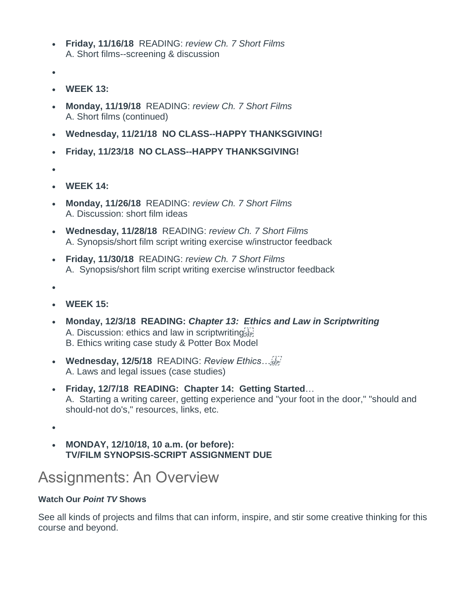- **Friday, 11/16/18** READING: *review Ch. 7 Short Films* A. Short films--screening & discussion
- •
- **WEEK 13:**
- **Monday, 11/19/18** READING: *review Ch. 7 Short Films* A. Short films (continued)
- **Wednesday, 11/21/18 NO CLASS--HAPPY THANKSGIVING!**
- **Friday, 11/23/18 NO CLASS--HAPPY THANKSGIVING!**
- •
- **WEEK 14:**
- **Monday, 11/26/18** READING: *review Ch. 7 Short Films* A. Discussion: short film ideas
- **Wednesday, 11/28/18** READING: *review Ch. 7 Short Films* A. Synopsis/short film script writing exercise w/instructor feedback
- **Friday, 11/30/18** READING: *review Ch. 7 Short Films* A. Synopsis/short film script writing exercise w/instructor feedback
- •
- **WEEK 15:**
- **Monday, 12/3/18 READING:** *Chapter 13: Ethics and Law in Scriptwriting* A. Discussion: ethics and law in scriptwriting B. Ethics writing case study & Potter Box Model
- **Wednesday, 12/5/18** READING: *Review Ethics…* A. Laws and legal issues (case studies)
- **Friday, 12/7/18 READING: Chapter 14: Getting Started**… A. Starting a writing career, getting experience and "your foot in the door," "should and should-not do's," resources, links, etc.

•

• **MONDAY, 12/10/18, 10 a.m. (or before): TV/FILM SYNOPSIS-SCRIPT ASSIGNMENT DUE**

### Assignments: An Overview

#### **Watch Our** *Point TV* **Shows**

See all kinds of projects and films that can inform, inspire, and stir some creative thinking for this course and beyond.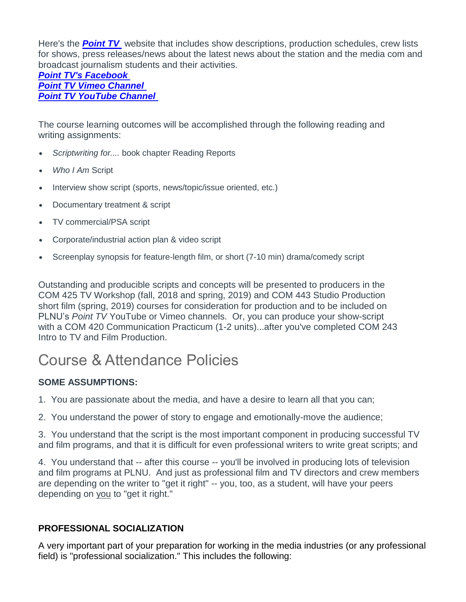Here's the *[Point TV](http://pointtv23.com/com425and243/)* website that includes show descriptions, production schedules, crew lists for shows, press releases/news about the latest news about the station and the media com and broadcast journalism students and their activities.

#### *[Point TV's Facebook](https://www.facebook.com/pages/Point-TV/447038881997027?ref=hl) Point TV [Vimeo Channel](https://vimeo.com/channels/pointtv) [Point TV YouTube Channel](https://www.youtube.com/channel/UCbSHEdR_GA73Wpay3g4OuBQ)*

The course learning outcomes will be accomplished through the following reading and writing assignments:

- *Scriptwriting for....* book chapter Reading Reports
- *Who I Am* Script
- Interview show script (sports, news/topic/issue oriented, etc.)
- Documentary treatment & script
- TV commercial/PSA script
- Corporate/industrial action plan & video script
- Screenplay synopsis for feature-length film, or short (7-10 min) drama/comedy script

Outstanding and producible scripts and concepts will be presented to producers in the COM 425 TV Workshop (fall, 2018 and spring, 2019) and COM 443 Studio Production short film (spring, 2019) courses for consideration for production and to be included on PLNU's *Point TV* YouTube or Vimeo channels. Or, you can produce your show-script with a COM 420 Communication Practicum (1-2 units)...after you've completed COM 243 Intro to TV and Film Production.

## Course & Attendance Policies

#### **SOME ASSUMPTIONS:**

- 1. You are passionate about the media, and have a desire to learn all that you can;
- 2. You understand the power of story to engage and emotionally-move the audience;

3. You understand that the script is the most important component in producing successful TV and film programs, and that it is difficult for even professional writers to write great scripts; and

4. You understand that -- after this course -- you'll be involved in producing lots of television and film programs at PLNU. And just as professional film and TV directors and crew members are depending on the writer to "get it right" -- you, too, as a student, will have your peers depending on you to "get it right."

#### **PROFESSIONAL SOCIALIZATION**

A very important part of your preparation for working in the media industries (or any professional field) is "professional socialization." This includes the following: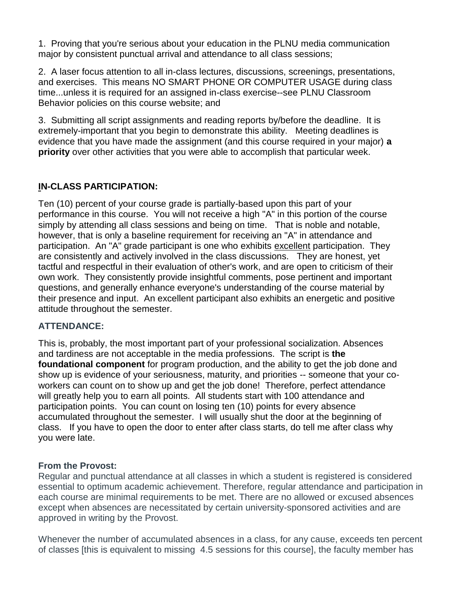1. Proving that you're serious about your education in the PLNU media communication major by consistent punctual arrival and attendance to all class sessions;

2. A laser focus attention to all in-class lectures, discussions, screenings, presentations, and exercises. This means NO SMART PHONE OR COMPUTER USAGE during class time...unless it is required for an assigned in-class exercise--see PLNU Classroom Behavior policies on this course website; and

3. Submitting all script assignments and reading reports by/before the deadline. It is extremely-important that you begin to demonstrate this ability. Meeting deadlines is evidence that you have made the assignment (and this course required in your major) **a priority** over other activities that you were able to accomplish that particular week.

#### **IN-CLASS PARTICIPATION:**

Ten (10) percent of your course grade is partially-based upon this part of your performance in this course. You will not receive a high "A" in this portion of the course simply by attending all class sessions and being on time. That is noble and notable, however, that is only a baseline requirement for receiving an "A" in attendance and participation. An "A" grade participant is one who exhibits excellent participation. They are consistently and actively involved in the class discussions. They are honest, yet tactful and respectful in their evaluation of other's work, and are open to criticism of their own work. They consistently provide insightful comments, pose pertinent and important questions, and generally enhance everyone's understanding of the course material by their presence and input. An excellent participant also exhibits an energetic and positive attitude throughout the semester.

#### **ATTENDANCE:**

This is, probably, the most important part of your professional socialization. Absences and tardiness are not acceptable in the media professions. The script is **the foundational component** for program production, and the ability to get the job done and show up is evidence of your seriousness, maturity, and priorities -- someone that your coworkers can count on to show up and get the job done! Therefore, perfect attendance will greatly help you to earn all points. All students start with 100 attendance and participation points. You can count on losing ten (10) points for every absence accumulated throughout the semester. I will usually shut the door at the beginning of class. If you have to open the door to enter after class starts, do tell me after class why you were late.

#### **From the Provost:**

Regular and punctual attendance at all classes in which a student is registered is considered essential to optimum academic achievement. Therefore, regular attendance and participation in each course are minimal requirements to be met. There are no allowed or excused absences except when absences are necessitated by certain university-sponsored activities and are approved in writing by the Provost.

Whenever the number of accumulated absences in a class, for any cause, exceeds ten percent of classes [this is equivalent to missing 4.5 sessions for this course], the faculty member has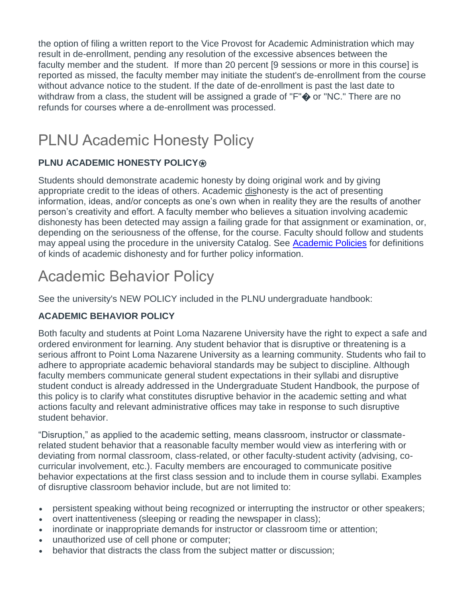the option of filing a written report to the Vice Provost for Academic Administration which may result in de-enrollment, pending any resolution of the excessive absences between the faculty member and the student. If more than 20 percent [9 sessions or more in this course] is reported as missed, the faculty member may initiate the student's de-enrollment from the course without advance notice to the student. If the date of de-enrollment is past the last date to withdraw from a class, the student will be assigned a grade of "F" $\spadesuit$  or "NC." There are no refunds for courses where a de-enrollment was processed.

## PLNU Academic Honesty Policy

#### **PLNU ACADEMIC HONESTY POLICY <b>®**

Students should demonstrate academic honesty by doing original work and by giving appropriate credit to the ideas of others. Academic dishonesty is the act of presenting information, ideas, and/or concepts as one's own when in reality they are the results of another person's creativity and effort. A faculty member who believes a situation involving academic dishonesty has been detected may assign a failing grade for that assignment or examination, or, depending on the seriousness of the offense, for the course. Faculty should follow and students may appeal using the procedure in the university Catalog. See [Academic Policies](http://catalog.pointloma.edu/content.php?catoid=18&navoid=1278) for definitions of kinds of academic dishonesty and for further policy information.

## Academic Behavior Policy

See the university's NEW POLICY included in the PLNU undergraduate handbook:

#### **ACADEMIC BEHAVIOR POLICY**

Both faculty and students at Point Loma Nazarene University have the right to expect a safe and ordered environment for learning. Any student behavior that is disruptive or threatening is a serious affront to Point Loma Nazarene University as a learning community. Students who fail to adhere to appropriate academic behavioral standards may be subject to discipline. Although faculty members communicate general student expectations in their syllabi and disruptive student conduct is already addressed in the Undergraduate Student Handbook, the purpose of this policy is to clarify what constitutes disruptive behavior in the academic setting and what actions faculty and relevant administrative offices may take in response to such disruptive student behavior.

"Disruption," as applied to the academic setting, means classroom, instructor or classmaterelated student behavior that a reasonable faculty member would view as interfering with or deviating from normal classroom, class-related, or other faculty-student activity (advising, cocurricular involvement, etc.). Faculty members are encouraged to communicate positive behavior expectations at the first class session and to include them in course syllabi. Examples of disruptive classroom behavior include, but are not limited to:

- persistent speaking without being recognized or interrupting the instructor or other speakers;
- overt inattentiveness (sleeping or reading the newspaper in class);
- inordinate or inappropriate demands for instructor or classroom time or attention;
- unauthorized use of cell phone or computer;
- behavior that distracts the class from the subject matter or discussion;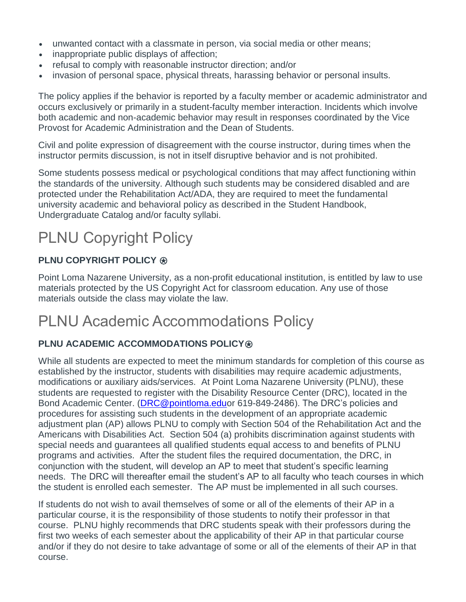- unwanted contact with a classmate in person, via social media or other means;
- inappropriate public displays of affection;
- refusal to comply with reasonable instructor direction; and/or
- invasion of personal space, physical threats, harassing behavior or personal insults.

The policy applies if the behavior is reported by a faculty member or academic administrator and occurs exclusively or primarily in a student-faculty member interaction. Incidents which involve both academic and non-academic behavior may result in responses coordinated by the Vice Provost for Academic Administration and the Dean of Students.

Civil and polite expression of disagreement with the course instructor, during times when the instructor permits discussion, is not in itself disruptive behavior and is not prohibited.

Some students possess medical or psychological conditions that may affect functioning within the standards of the university. Although such students may be considered disabled and are protected under the Rehabilitation Act/ADA, they are required to meet the fundamental university academic and behavioral policy as described in the Student Handbook, Undergraduate Catalog and/or faculty syllabi.

# PLNU Copyright Policy

#### **PLNU COPYRIGHT POLICY ®**

Point Loma Nazarene University, as a non-profit educational institution, is entitled by law to use materials protected by the US Copyright Act for classroom education. Any use of those materials outside the class may violate the law.

## PLNU Academic Accommodations Policy

#### **PLNU ACADEMIC ACCOMMODATIONS POLICY <b>®**

While all students are expected to meet the minimum standards for completion of this course as established by the instructor, students with disabilities may require academic adjustments, modifications or auxiliary aids/services. At Point Loma Nazarene University (PLNU), these students are requested to register with the Disability Resource Center (DRC), located in the Bond Academic Center. [\(DRC@pointloma.eduo](mailto:DRC@pointloma.edu)r 619-849-2486). The DRC's policies and procedures for assisting such students in the development of an appropriate academic adjustment plan (AP) allows PLNU to comply with Section 504 of the Rehabilitation Act and the Americans with Disabilities Act. Section 504 (a) prohibits discrimination against students with special needs and guarantees all qualified students equal access to and benefits of PLNU programs and activities. After the student files the required documentation, the DRC, in conjunction with the student, will develop an AP to meet that student's specific learning needs. The DRC will thereafter email the student's AP to all faculty who teach courses in which the student is enrolled each semester. The AP must be implemented in all such courses.

If students do not wish to avail themselves of some or all of the elements of their AP in a particular course, it is the responsibility of those students to notify their professor in that course. PLNU highly recommends that DRC students speak with their professors during the first two weeks of each semester about the applicability of their AP in that particular course and/or if they do not desire to take advantage of some or all of the elements of their AP in that course.